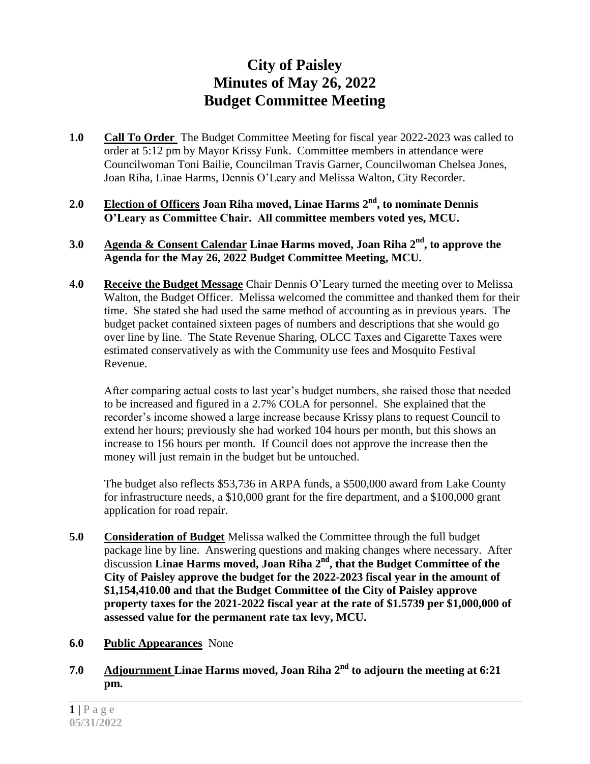## **City of Paisley Minutes of May 26, 2022 Budget Committee Meeting**

- **1.0 Call To Order** The Budget Committee Meeting for fiscal year 2022-2023 was called to order at 5:12 pm by Mayor Krissy Funk. Committee members in attendance were Councilwoman Toni Bailie, Councilman Travis Garner, Councilwoman Chelsea Jones, Joan Riha, Linae Harms, Dennis O'Leary and Melissa Walton, City Recorder.
- **2.0 Election of Officers Joan Riha moved, Linae Harms 2 nd, to nominate Dennis O'Leary as Committee Chair. All committee members voted yes, MCU.**
- **3.0 Agenda & Consent Calendar Linae Harms moved, Joan Riha 2 nd, to approve the Agenda for the May 26, 2022 Budget Committee Meeting, MCU.**
- **4.0 Receive the Budget Message** Chair Dennis O'Leary turned the meeting over to Melissa Walton, the Budget Officer. Melissa welcomed the committee and thanked them for their time. She stated she had used the same method of accounting as in previous years. The budget packet contained sixteen pages of numbers and descriptions that she would go over line by line. The State Revenue Sharing, OLCC Taxes and Cigarette Taxes were estimated conservatively as with the Community use fees and Mosquito Festival Revenue.

After comparing actual costs to last year's budget numbers, she raised those that needed to be increased and figured in a 2.7% COLA for personnel. She explained that the recorder's income showed a large increase because Krissy plans to request Council to extend her hours; previously she had worked 104 hours per month, but this shows an increase to 156 hours per month. If Council does not approve the increase then the money will just remain in the budget but be untouched.

The budget also reflects \$53,736 in ARPA funds, a \$500,000 award from Lake County for infrastructure needs, a \$10,000 grant for the fire department, and a \$100,000 grant application for road repair.

- **5.0 Consideration of Budget** Melissa walked the Committee through the full budget package line by line. Answering questions and making changes where necessary. After discussion Linae Harms moved, Joan Riha 2<sup>nd</sup>, that the Budget Committee of the **City of Paisley approve the budget for the 2022-2023 fiscal year in the amount of \$1,154,410.00 and that the Budget Committee of the City of Paisley approve property taxes for the 2021-2022 fiscal year at the rate of \$1.5739 per \$1,000,000 of assessed value for the permanent rate tax levy, MCU.**
- **6.0 Public Appearances** None
- **7.0 Adjournment Linae Harms moved, Joan Riha 2 nd to adjourn the meeting at 6:21 pm.**